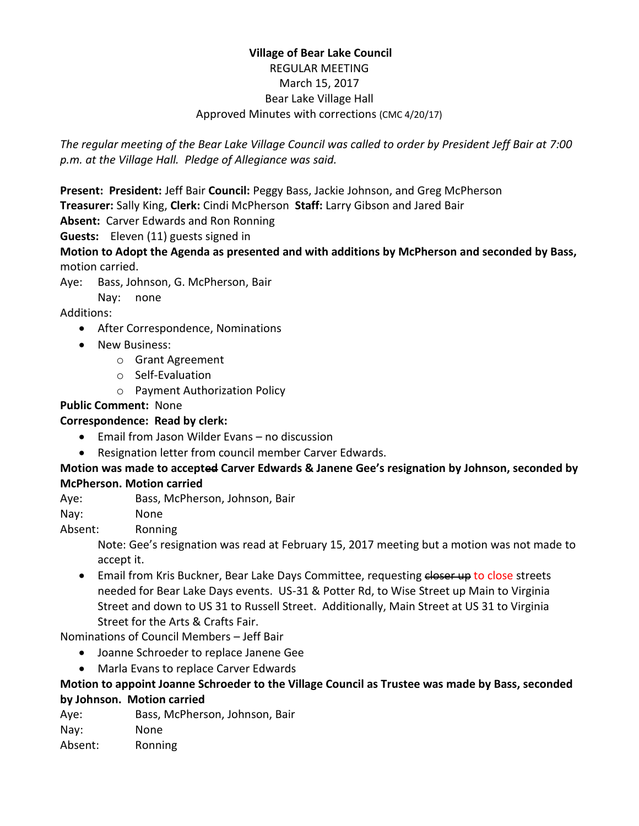# **Village of Bear Lake Council** REGULAR MEETING March 15, 2017 Bear Lake Village Hall Approved Minutes with corrections (CMC 4/20/17)

*The regular meeting of the Bear Lake Village Council was called to order by President Jeff Bair at 7:00 p.m. at the Village Hall. Pledge of Allegiance was said.*

**Present: President:** Jeff Bair **Council:** Peggy Bass, Jackie Johnson, and Greg McPherson

- **Treasurer:** Sally King, **Clerk:** Cindi McPherson **Staff:** Larry Gibson and Jared Bair
- **Absent:** Carver Edwards and Ron Ronning

**Guests:** Eleven (11) guests signed in

**Motion to Adopt the Agenda as presented and with additions by McPherson and seconded by Bass,**  motion carried.

Aye: Bass, Johnson, G. McPherson, Bair

Nay: none

Additions:

- After Correspondence, Nominations
- New Business:
	- o Grant Agreement
	- o Self-Evaluation
	- o Payment Authorization Policy

# **Public Comment:** None

# **Correspondence: Read by clerk:**

- Email from Jason Wilder Evans no discussion
- Resignation letter from council member Carver Edwards.

## **Motion was made to accepted Carver Edwards & Janene Gee's resignation by Johnson, seconded by McPherson. Motion carried**

Aye: Bass, McPherson, Johnson, Bair

Nay: None

Absent: Ronning

Note: Gee's resignation was read at February 15, 2017 meeting but a motion was not made to accept it.

**Email from Kris Buckner, Bear Lake Days Committee, requesting closer up to close streets** needed for Bear Lake Days events. US-31 & Potter Rd, to Wise Street up Main to Virginia Street and down to US 31 to Russell Street. Additionally, Main Street at US 31 to Virginia Street for the Arts & Crafts Fair.

Nominations of Council Members – Jeff Bair

- Joanne Schroeder to replace Janene Gee
- Marla Evans to replace Carver Edwards

## **Motion to appoint Joanne Schroeder to the Village Council as Trustee was made by Bass, seconded by Johnson. Motion carried**

Aye: Bass, McPherson, Johnson, Bair

Nay: None

Absent: Ronning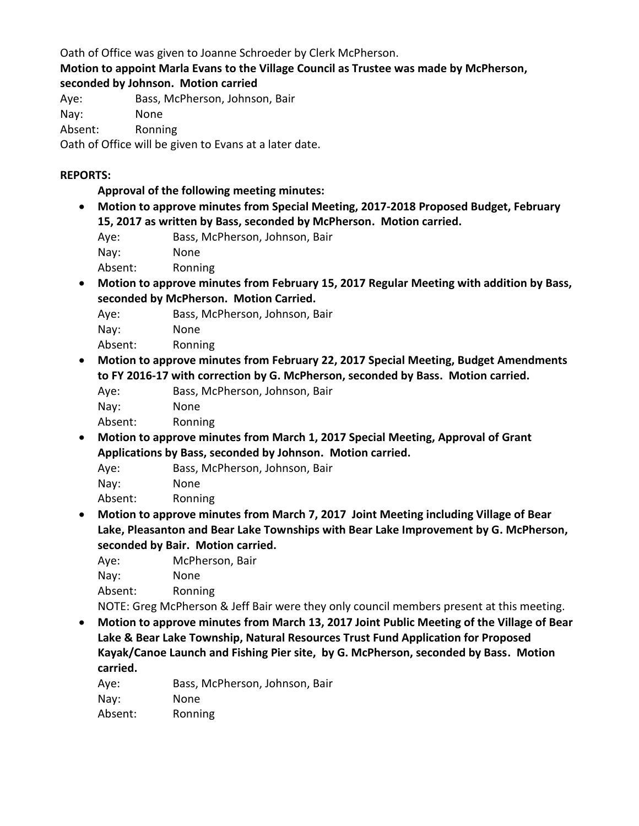Oath of Office was given to Joanne Schroeder by Clerk McPherson.

**Motion to appoint Marla Evans to the Village Council as Trustee was made by McPherson, seconded by Johnson. Motion carried**

Aye: Bass, McPherson, Johnson, Bair

Nay: None

Absent: Ronning

Oath of Office will be given to Evans at a later date.

## **REPORTS:**

**Approval of the following meeting minutes:** 

- **Motion to approve minutes from Special Meeting, 2017-2018 Proposed Budget, February 15, 2017 as written by Bass, seconded by McPherson. Motion carried.**
	- Aye: Bass, McPherson, Johnson, Bair
	- Nay: None

Absent: Ronning

 **Motion to approve minutes from February 15, 2017 Regular Meeting with addition by Bass, seconded by McPherson. Motion Carried.**

Aye: Bass, McPherson, Johnson, Bair

Nay: None

Absent: Ronning

- **Motion to approve minutes from February 22, 2017 Special Meeting, Budget Amendments to FY 2016-17 with correction by G. McPherson, seconded by Bass. Motion carried.** Aye: Bass, McPherson, Johnson, Bair
	- Nay: None

Absent: Ronning

 **Motion to approve minutes from March 1, 2017 Special Meeting, Approval of Grant Applications by Bass, seconded by Johnson. Motion carried.**

Aye: Bass, McPherson, Johnson, Bair

Nay: None

Absent: Ronning

 **Motion to approve minutes from March 7, 2017 Joint Meeting including Village of Bear Lake, Pleasanton and Bear Lake Townships with Bear Lake Improvement by G. McPherson, seconded by Bair. Motion carried.**

Aye: McPherson, Bair Nay: None Absent: Ronning

NOTE: Greg McPherson & Jeff Bair were they only council members present at this meeting.

 **Motion to approve minutes from March 13, 2017 Joint Public Meeting of the Village of Bear Lake & Bear Lake Township, Natural Resources Trust Fund Application for Proposed Kayak/Canoe Launch and Fishing Pier site, by G. McPherson, seconded by Bass. Motion carried.**

Aye: Bass, McPherson, Johnson, Bair Nay: None

Absent: Ronning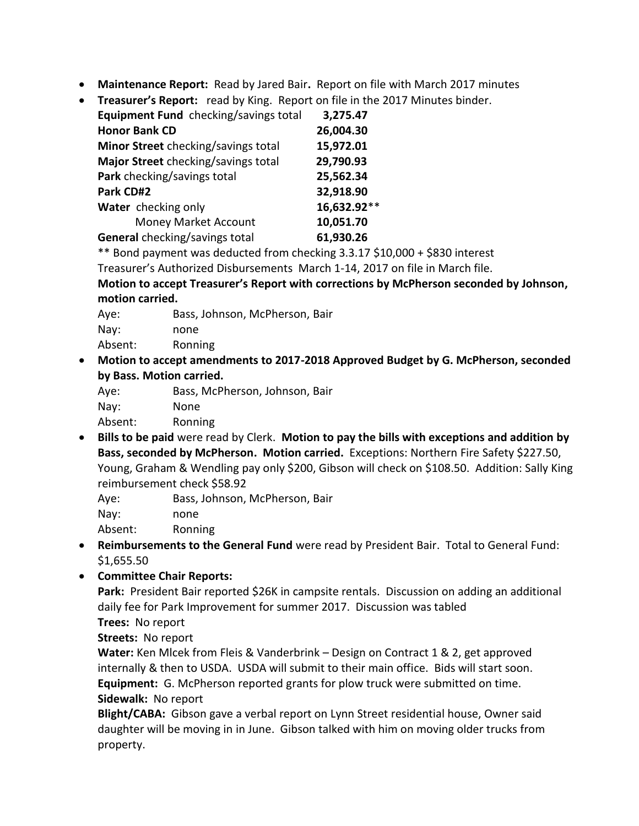- **Maintenance Report:** Read by Jared Bair**.** Report on file with March 2017 minutes
- **Treasurer's Report:** read by King. Report on file in the 2017 Minutes binder.

| Equipment Fund checking/savings total | 3,275.47    |
|---------------------------------------|-------------|
| <b>Honor Bank CD</b>                  | 26,004.30   |
| Minor Street checking/savings total   | 15,972.01   |
| Major Street checking/savings total   | 29,790.93   |
| Park checking/savings total           | 25,562.34   |
| Park CD#2                             | 32,918.90   |
| Water checking only                   | 16,632.92** |
| Money Market Account                  | 10,051.70   |
| General checking/savings total        | 61,930.26   |

\*\* Bond payment was deducted from checking 3.3.17 \$10,000 + \$830 interest

Treasurer's Authorized Disbursements March 1-14, 2017 on file in March file.

**Motion to accept Treasurer's Report with corrections by McPherson seconded by Johnson, motion carried.**

Aye: Bass, Johnson, McPherson, Bair Nay: none Absent: Ronning

 **Motion to accept amendments to 2017-2018 Approved Budget by G. McPherson, seconded by Bass. Motion carried.**

| Aye:    | Bass, McPherson, Johnson, Bair |
|---------|--------------------------------|
| Nay:    | None.                          |
| Absent: | Ronning                        |
|         |                                |

 **Bills to be paid** were read by Clerk. **Motion to pay the bills with exceptions and addition by Bass, seconded by McPherson. Motion carried.** Exceptions: Northern Fire Safety \$227.50, Young, Graham & Wendling pay only \$200, Gibson will check on \$108.50. Addition: Sally King reimbursement check \$58.92

Aye: Bass, Johnson, McPherson, Bair Nay: none Absent: Ronning

- **Reimbursements to the General Fund** were read by President Bair. Total to General Fund: \$1,655.50
- **Committee Chair Reports:**

**Park:** President Bair reported \$26K in campsite rentals. Discussion on adding an additional daily fee for Park Improvement for summer 2017. Discussion was tabled

**Trees:** No report

**Streets:** No report

**Water:** Ken Mlcek from Fleis & Vanderbrink – Design on Contract 1 & 2, get approved internally & then to USDA. USDA will submit to their main office. Bids will start soon. **Equipment:** G. McPherson reported grants for plow truck were submitted on time. **Sidewalk:** No report

**Blight/CABA:** Gibson gave a verbal report on Lynn Street residential house, Owner said daughter will be moving in in June. Gibson talked with him on moving older trucks from property.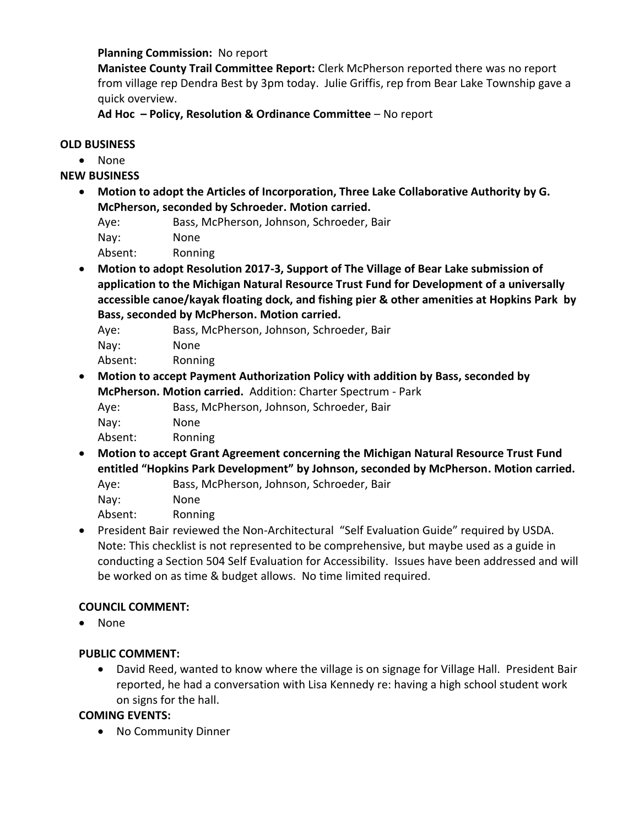#### **Planning Commission:** No report

**Manistee County Trail Committee Report:** Clerk McPherson reported there was no report from village rep Dendra Best by 3pm today. Julie Griffis, rep from Bear Lake Township gave a quick overview.

**Ad Hoc – Policy, Resolution & Ordinance Committee** – No report

#### **OLD BUSINESS**

None

**NEW BUSINESS**

- **Motion to adopt the Articles of Incorporation, Three Lake Collaborative Authority by G. McPherson, seconded by Schroeder. Motion carried.**
	- Aye: Bass, McPherson, Johnson, Schroeder, Bair

Nay: None

Absent: Ronning

- **Motion to adopt Resolution 2017-3, Support of The Village of Bear Lake submission of application to the Michigan Natural Resource Trust Fund for Development of a universally accessible canoe/kayak floating dock, and fishing pier & other amenities at Hopkins Park by Bass, seconded by McPherson. Motion carried.**
	- Aye: Bass, McPherson, Johnson, Schroeder, Bair
	- Nay: None

Absent: Ronning

- **Motion to accept Payment Authorization Policy with addition by Bass, seconded by McPherson. Motion carried.** Addition: Charter Spectrum - Park
	- Aye: Bass, McPherson, Johnson, Schroeder, Bair

Nay: None

Absent: Ronning

 **Motion to accept Grant Agreement concerning the Michigan Natural Resource Trust Fund entitled "Hopkins Park Development" by Johnson, seconded by McPherson. Motion carried.** Aye: Bass, McPherson, Johnson, Schroeder, Bair

Nay: None

Absent: Ronning

 President Bair reviewed the Non-Architectural "Self Evaluation Guide" required by USDA. Note: This checklist is not represented to be comprehensive, but maybe used as a guide in conducting a Section 504 Self Evaluation for Accessibility. Issues have been addressed and will be worked on as time & budget allows. No time limited required.

#### **COUNCIL COMMENT:**

• None

# **PUBLIC COMMENT:**

 David Reed, wanted to know where the village is on signage for Village Hall. President Bair reported, he had a conversation with Lisa Kennedy re: having a high school student work on signs for the hall.

#### **COMING EVENTS:**

• No Community Dinner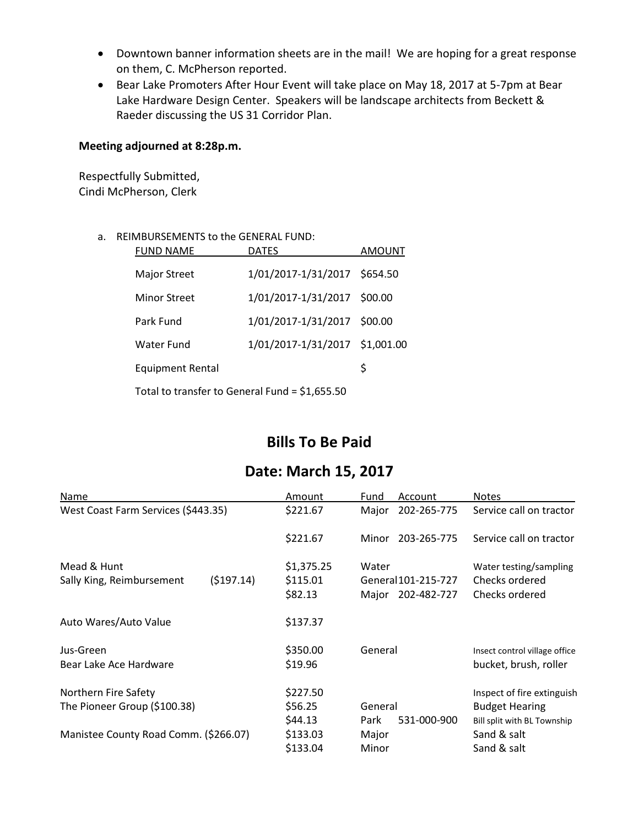- Downtown banner information sheets are in the mail! We are hoping for a great response on them, C. McPherson reported.
- Bear Lake Promoters After Hour Event will take place on May 18, 2017 at 5-7pm at Bear Lake Hardware Design Center. Speakers will be landscape architects from Beckett & Raeder discussing the US 31 Corridor Plan.

#### **Meeting adjourned at 8:28p.m.**

Respectfully Submitted, Cindi McPherson, Clerk

#### a. REIMBURSEMENTS to the GENERAL FUND:

| <b>FUND NAME</b>                                | <b>DATES</b>                   | AMOUNT |  |  |
|-------------------------------------------------|--------------------------------|--------|--|--|
| <b>Major Street</b>                             | 1/01/2017-1/31/2017 \$654.50   |        |  |  |
| <b>Minor Street</b>                             | 1/01/2017-1/31/2017 \$00.00    |        |  |  |
| Park Fund                                       | 1/01/2017-1/31/2017 \$00.00    |        |  |  |
| Water Fund                                      | 1/01/2017-1/31/2017 \$1,001.00 |        |  |  |
| <b>Equipment Rental</b>                         |                                | \$     |  |  |
| Total to transfer to General Fund = $$1,655.50$ |                                |        |  |  |

# **Bills To Be Paid**

# **Date: March 15, 2017**

| Name                                                 |           | Amount                            | Fund            | Account                            | <b>Notes</b>                                                                       |
|------------------------------------------------------|-----------|-----------------------------------|-----------------|------------------------------------|------------------------------------------------------------------------------------|
| West Coast Farm Services (\$443.35)                  |           | \$221.67                          | Major           | 202-265-775                        | Service call on tractor                                                            |
|                                                      |           | \$221.67                          | Minor           | 203-265-775                        | Service call on tractor                                                            |
| Mead & Hunt<br>Sally King, Reimbursement             | (5197.14) | \$1,375.25<br>\$115.01<br>\$82.13 | Water<br>Major  | General 101-215-727<br>202-482-727 | Water testing/sampling<br>Checks ordered<br>Checks ordered                         |
| Auto Wares/Auto Value                                |           | \$137.37                          |                 |                                    |                                                                                    |
| Jus-Green<br>Bear Lake Ace Hardware                  |           | \$350.00<br>\$19.96               | General         |                                    | Insect control village office<br>bucket, brush, roller                             |
| Northern Fire Safety<br>The Pioneer Group (\$100.38) |           | \$227.50<br>\$56.25<br>\$44.13    | General<br>Park | 531-000-900                        | Inspect of fire extinguish<br><b>Budget Hearing</b><br>Bill split with BL Township |
| Manistee County Road Comm. (\$266.07)                |           | \$133.03<br>\$133.04              | Major<br>Minor  |                                    | Sand & salt<br>Sand & salt                                                         |